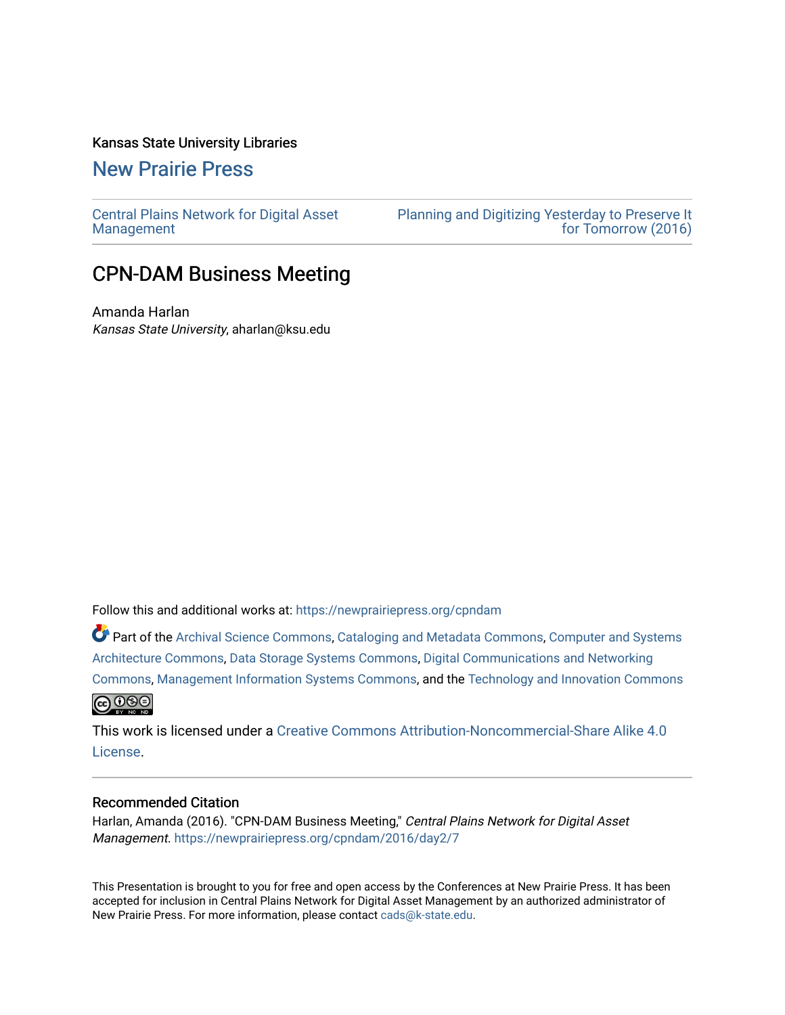#### Kansas State University Libraries

[New Prairie Press](https://newprairiepress.org/) 

[Central Plains Network for Digital Asset](https://newprairiepress.org/cpndam) [Management](https://newprairiepress.org/cpndam) 

[Planning and Digitizing Yesterday to Preserve It](https://newprairiepress.org/cpndam/2016)  [for Tomorrow \(2016\)](https://newprairiepress.org/cpndam/2016) 

## CPN-DAM Business Meeting

Amanda Harlan Kansas State University, aharlan@ksu.edu

Follow this and additional works at: [https://newprairiepress.org/cpndam](https://newprairiepress.org/cpndam?utm_source=newprairiepress.org%2Fcpndam%2F2016%2Fday2%2F7&utm_medium=PDF&utm_campaign=PDFCoverPages)

Part of the [Archival Science Commons,](http://network.bepress.com/hgg/discipline/1021?utm_source=newprairiepress.org%2Fcpndam%2F2016%2Fday2%2F7&utm_medium=PDF&utm_campaign=PDFCoverPages) [Cataloging and Metadata Commons,](http://network.bepress.com/hgg/discipline/1270?utm_source=newprairiepress.org%2Fcpndam%2F2016%2Fday2%2F7&utm_medium=PDF&utm_campaign=PDFCoverPages) [Computer and Systems](http://network.bepress.com/hgg/discipline/259?utm_source=newprairiepress.org%2Fcpndam%2F2016%2Fday2%2F7&utm_medium=PDF&utm_campaign=PDFCoverPages) [Architecture Commons,](http://network.bepress.com/hgg/discipline/259?utm_source=newprairiepress.org%2Fcpndam%2F2016%2Fday2%2F7&utm_medium=PDF&utm_campaign=PDFCoverPages) [Data Storage Systems Commons](http://network.bepress.com/hgg/discipline/261?utm_source=newprairiepress.org%2Fcpndam%2F2016%2Fday2%2F7&utm_medium=PDF&utm_campaign=PDFCoverPages), [Digital Communications and Networking](http://network.bepress.com/hgg/discipline/262?utm_source=newprairiepress.org%2Fcpndam%2F2016%2Fday2%2F7&utm_medium=PDF&utm_campaign=PDFCoverPages)  [Commons](http://network.bepress.com/hgg/discipline/262?utm_source=newprairiepress.org%2Fcpndam%2F2016%2Fday2%2F7&utm_medium=PDF&utm_campaign=PDFCoverPages), [Management Information Systems Commons](http://network.bepress.com/hgg/discipline/636?utm_source=newprairiepress.org%2Fcpndam%2F2016%2Fday2%2F7&utm_medium=PDF&utm_campaign=PDFCoverPages), and the [Technology and Innovation Commons](http://network.bepress.com/hgg/discipline/644?utm_source=newprairiepress.org%2Fcpndam%2F2016%2Fday2%2F7&utm_medium=PDF&utm_campaign=PDFCoverPages) <u>@ 000</u>

This work is licensed under a [Creative Commons Attribution-Noncommercial-Share Alike 4.0](https://creativecommons.org/licenses/by-nc-sa/4.0/) [License.](https://creativecommons.org/licenses/by-nc-sa/4.0/)

#### Recommended Citation

Harlan, Amanda (2016). "CPN-DAM Business Meeting," Central Plains Network for Digital Asset Management. <https://newprairiepress.org/cpndam/2016/day2/7>

This Presentation is brought to you for free and open access by the Conferences at New Prairie Press. It has been accepted for inclusion in Central Plains Network for Digital Asset Management by an authorized administrator of New Prairie Press. For more information, please contact [cads@k-state.edu.](mailto:cads@k-state.edu)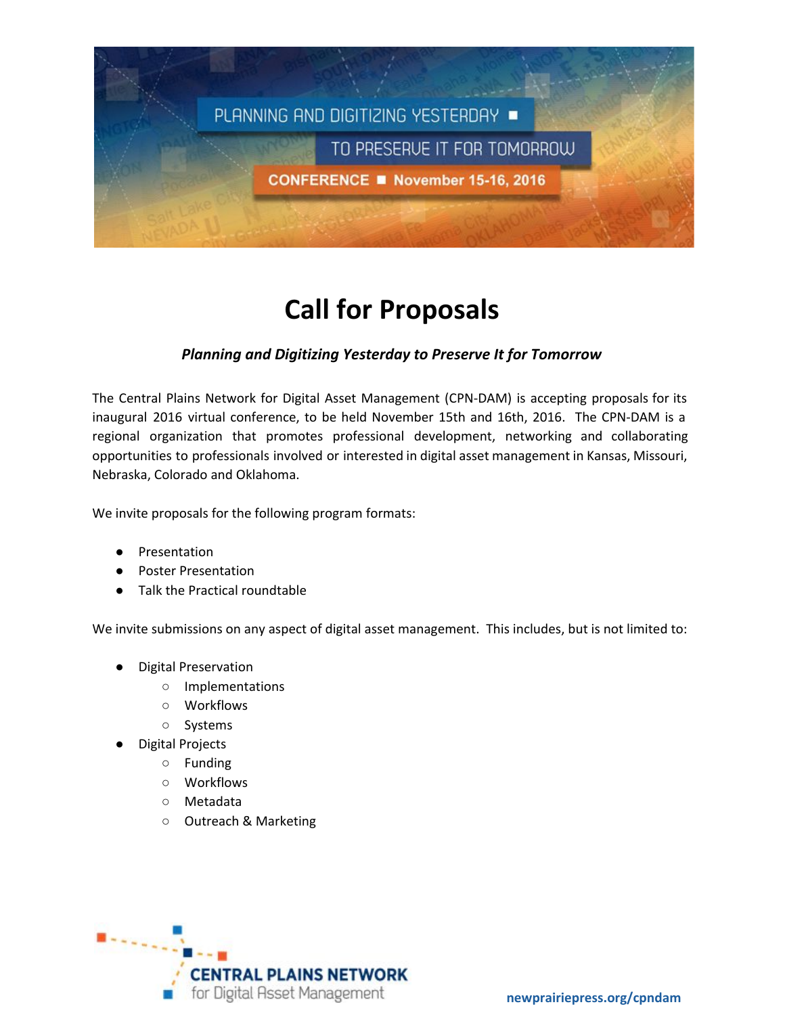

# **Call for Proposals**

### *Planning and Digitizing Yesterday to Preserve It for Tomorrow*

The Central Plains Network for Digital Asset Management (CPN-DAM) is accepting proposals for its inaugural 2016 virtual conference, to be held November 15th and 16th, 2016. The CPN-DAM is a regional organization that promotes professional development, networking and collaborating opportunities to professionals involved or interested in digital asset management in Kansas, Missouri, Nebraska, Colorado and Oklahoma.

We invite proposals for the following program formats:

- Presentation
- **Poster Presentation**
- **Talk the Practical roundtable**

We invite submissions on any aspect of digital asset management. This includes, but is not limited to:

- **Digital Preservation** 
	- Implementations
	- Workflows
	- Systems
- **Digital Projects** 
	- Funding
	- Workflows
	- Metadata
	- Outreach & Marketing

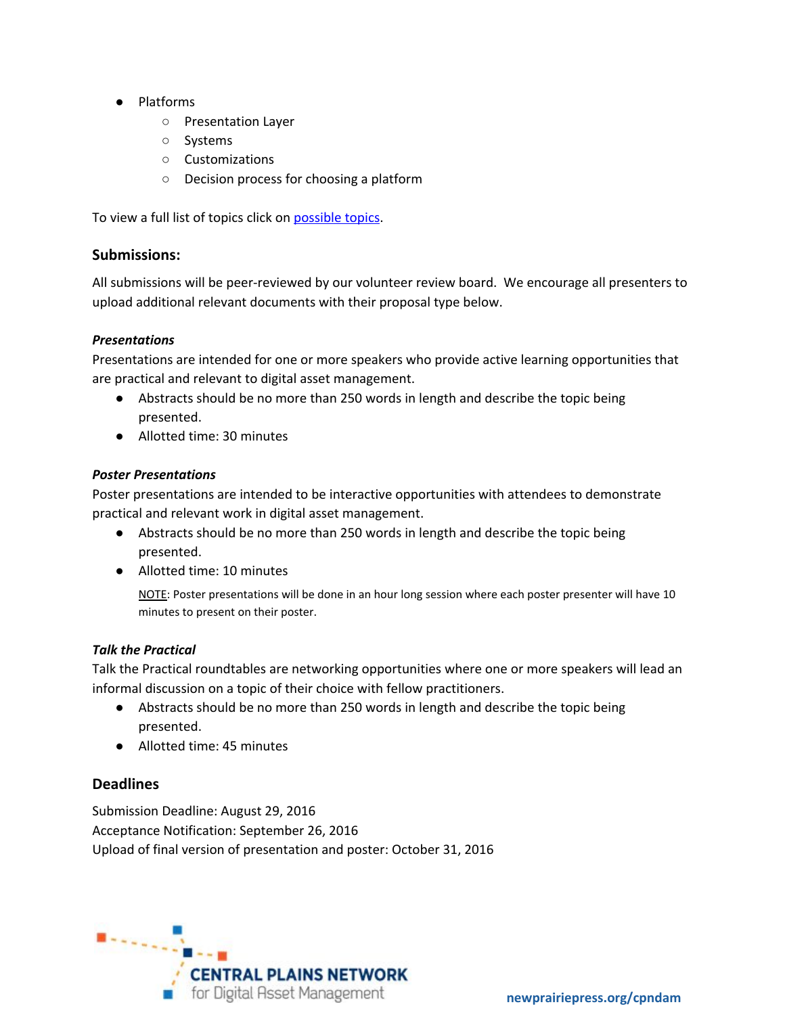- Platforms
	- Presentation Layer
	- Systems
	- Customizations
	- Decision process for choosing a platform

To view a full list of topics click on [possible](https://docs.google.com/document/d/1OCrFRDLSWyATJB7hwgy8kh71-62ZR40yjgpaH8XS6yk/edit?usp=sharing) topics.

#### **Submissions:**

All submissions will be pee[r](https://www.diglib.org/forums/2016forum/2016-forum-planning-committee/)-reviewed by our volunteer review board. We encourage all presenters to upload additional relevant documents with their proposal type below.

#### *Presentations*

Presentations are intended for one or more speakers who provide active learning opportunities that are practical and relevant to digital asset management.

- Abstracts should be no more than 250 words in length and describe the topic being presented.
- Allotted time: 30 minutes

#### *Poster Presentations*

Poster presentations are intended to be interactive opportunities with attendees to demonstrate practical and relevant work in digital asset management.

- Abstracts should be no more than 250 words in length and describe the topic being presented.
- Allotted time: 10 minutes

NOTE: Poster presentations will be done in an hour long session where each poster presenter will have 10 minutes to present on their poster.

#### *Talk the Practical*

Talk the Practical roundtables are networking opportunities where one or more speakers will lead an informal discussion on a topic of their choice with fellow practitioners.

- Abstracts should be no more than 250 words in length and describe the topic being presented.
- Allotted time: 45 minutes

#### **Deadlines**

Submission Deadline: August 29, 2016 Acceptance Notification: September 26, 2016 Upload of final version of presentation and poster: October 31, 2016